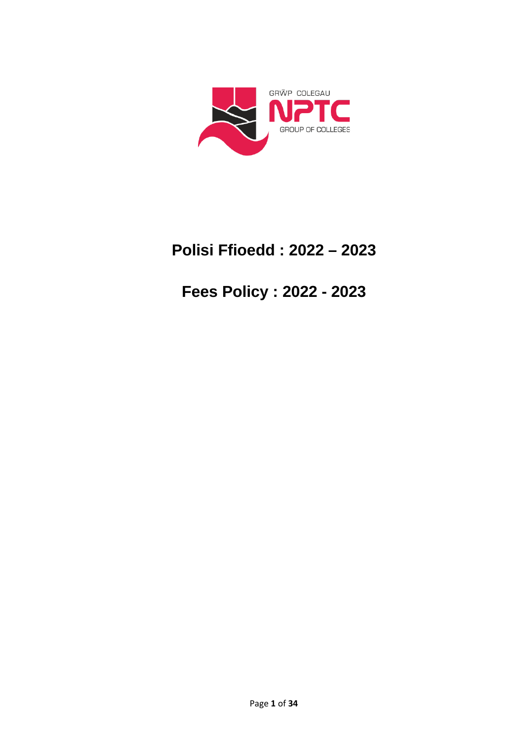

# **Polisi Ffioedd : 2022 – 2023**

# **Fees Policy : 2022 - 2023**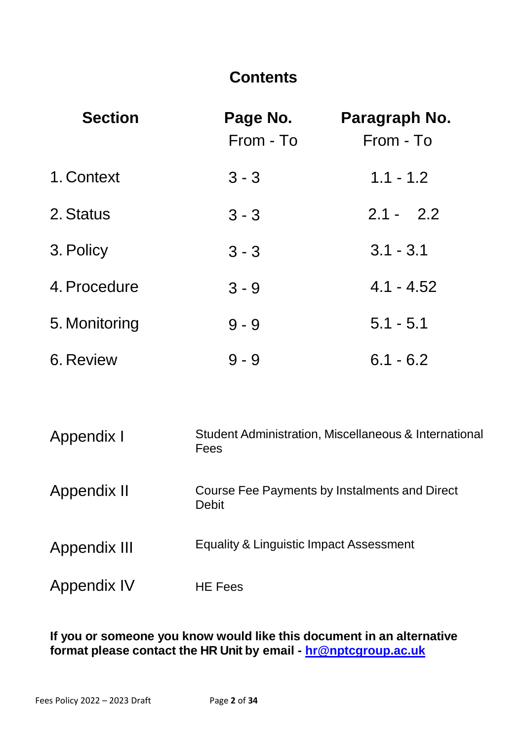### **Contents**

| <b>Section</b>   | Page No.<br>From - To | Paragraph No.<br>From - To |
|------------------|-----------------------|----------------------------|
| 1. Context       | $3 - 3$               | $1.1 - 1.2$                |
| 2. Status        | $3 - 3$               | $2.1 - 2.2$                |
| 3. Policy        | $3 - 3$               | $3.1 - 3.1$                |
| 4. Procedure     | $3 - 9$               | $4.1 - 4.52$               |
| 5. Monitoring    | $9 - 9$               | $5.1 - 5.1$                |
| <b>6. Review</b> | $9 - 9$               | $6.1 - 6.2$                |

| Appendix I   | Student Administration, Miscellaneous & International<br>Fees |
|--------------|---------------------------------------------------------------|
| Appendix II  | Course Fee Payments by Instalments and Direct<br><b>Debit</b> |
| Appendix III | Equality & Linguistic Impact Assessment                       |
| Appendix IV  | <b>HE Fees</b>                                                |

### **If you or someone you know would like this document in an alternative format please contact the HR Unit by email - [hr@nptcgroup.ac.uk](mailto:hr@nptcgroup.ac.uk)**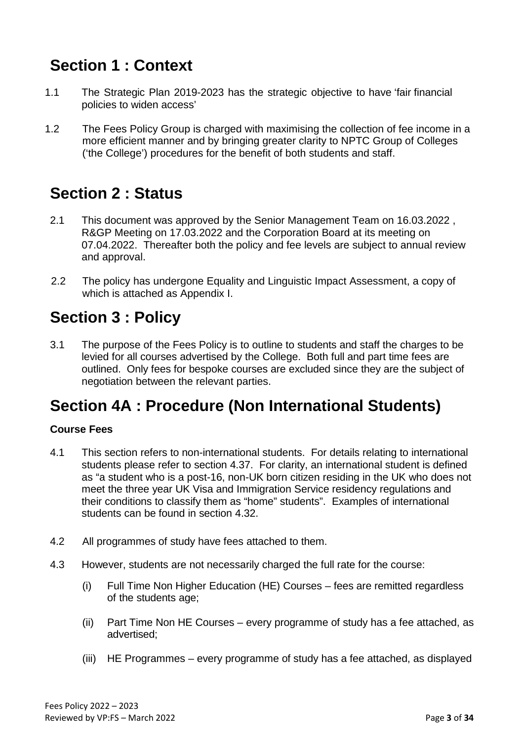# **Section 1 : Context**

- 1.1 The Strategic Plan 2019-2023 has the strategic objective to have 'fair financial policies to widen access'
- 1.2 The Fees Policy Group is charged with maximising the collection of fee income in a more efficient manner and by bringing greater clarity to NPTC Group of Colleges ('the College') procedures for the benefit of both students and staff.

### **Section 2 : Status**

- 2.1 This document was approved by the Senior Management Team on 16.03.2022 , R&GP Meeting on 17.03.2022 and the Corporation Board at its meeting on 07.04.2022. Thereafter both the policy and fee levels are subject to annual review and approval.
- 2.2 The policy has undergone Equality and Linguistic Impact Assessment, a copy of which is attached as Appendix I.

### **Section 3 : Policy**

3.1 The purpose of the Fees Policy is to outline to students and staff the charges to be levied for all courses advertised by the College. Both full and part time fees are outlined. Only fees for bespoke courses are excluded since they are the subject of negotiation between the relevant parties.

# **Section 4A : Procedure (Non International Students)**

### **Course Fees**

- 4.1 This section refers to non-international students. For details relating to international students please refer to section 4.37. For clarity, an international student is defined as "a student who is a post-16, non-UK born citizen residing in the UK who does not meet the three year UK Visa and Immigration Service residency regulations and their conditions to classify them as "home" students". Examples of international students can be found in section 4.32.
- 4.2 All programmes of study have fees attached to them.
- 4.3 However, students are not necessarily charged the full rate for the course:
	- (i) Full Time Non Higher Education (HE) Courses fees are remitted regardless of the students age;
	- (ii) Part Time Non HE Courses every programme of study has a fee attached, as advertised;
	- (iii) HE Programmes every programme of study has a fee attached, as displayed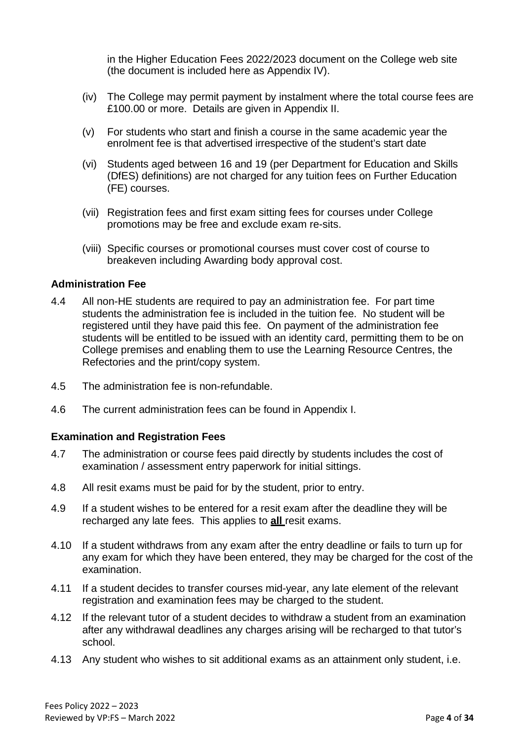in the Higher Education Fees 2022/2023 document on the College web site (the document is included here as Appendix IV).

- (iv) The College may permit payment by instalment where the total course fees are £100.00 or more. Details are given in Appendix II.
- (v) For students who start and finish a course in the same academic year the enrolment fee is that advertised irrespective of the student's start date
- (vi) Students aged between 16 and 19 (per Department for Education and Skills (DfES) definitions) are not charged for any tuition fees on Further Education (FE) courses.
- (vii) Registration fees and first exam sitting fees for courses under College promotions may be free and exclude exam re-sits.
- (viii) Specific courses or promotional courses must cover cost of course to breakeven including Awarding body approval cost.

#### **Administration Fee**

- 4.4 All non-HE students are required to pay an administration fee. For part time students the administration fee is included in the tuition fee. No student will be registered until they have paid this fee. On payment of the administration fee students will be entitled to be issued with an identity card, permitting them to be on College premises and enabling them to use the Learning Resource Centres, the Refectories and the print/copy system.
- 4.5 The administration fee is non-refundable.
- 4.6 The current administration fees can be found in Appendix I.

#### **Examination and Registration Fees**

- 4.7 The administration or course fees paid directly by students includes the cost of examination / assessment entry paperwork for initial sittings.
- 4.8 All resit exams must be paid for by the student, prior to entry.
- 4.9 If a student wishes to be entered for a resit exam after the deadline they will be recharged any late fees. This applies to **all** resit exams.
- 4.10 If a student withdraws from any exam after the entry deadline or fails to turn up for any exam for which they have been entered, they may be charged for the cost of the examination.
- 4.11 If a student decides to transfer courses mid-year, any late element of the relevant registration and examination fees may be charged to the student.
- 4.12 If the relevant tutor of a student decides to withdraw a student from an examination after any withdrawal deadlines any charges arising will be recharged to that tutor's school.
- 4.13 Any student who wishes to sit additional exams as an attainment only student, i.e.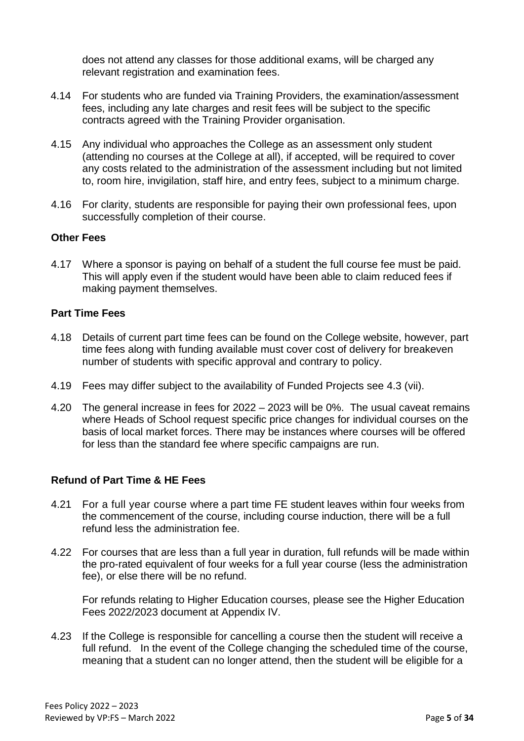does not attend any classes for those additional exams, will be charged any relevant registration and examination fees.

- 4.14 For students who are funded via Training Providers, the examination/assessment fees, including any late charges and resit fees will be subject to the specific contracts agreed with the Training Provider organisation.
- 4.15 Any individual who approaches the College as an assessment only student (attending no courses at the College at all), if accepted, will be required to cover any costs related to the administration of the assessment including but not limited to, room hire, invigilation, staff hire, and entry fees, subject to a minimum charge.
- 4.16 For clarity, students are responsible for paying their own professional fees, upon successfully completion of their course.

#### **Other Fees**

4.17 Where a sponsor is paying on behalf of a student the full course fee must be paid. This will apply even if the student would have been able to claim reduced fees if making payment themselves.

#### **Part Time Fees**

- 4.18 Details of current part time fees can be found on the College website, however, part time fees along with funding available must cover cost of delivery for breakeven number of students with specific approval and contrary to policy.
- 4.19 Fees may differ subject to the availability of Funded Projects see 4.3 (vii).
- 4.20 The general increase in fees for 2022 2023 will be 0%. The usual caveat remains where Heads of School request specific price changes for individual courses on the basis of local market forces. There may be instances where courses will be offered for less than the standard fee where specific campaigns are run.

#### **Refund of Part Time & HE Fees**

- 4.21 For a full year course where a part time FE student leaves within four weeks from the commencement of the course, including course induction, there will be a full refund less the administration fee.
- 4.22 For courses that are less than a full year in duration, full refunds will be made within the pro-rated equivalent of four weeks for a full year course (less the administration fee), or else there will be no refund.

For refunds relating to Higher Education courses, please see the Higher Education Fees 2022/2023 document at Appendix IV.

4.23 If the College is responsible for cancelling a course then the student will receive a full refund. In the event of the College changing the scheduled time of the course, meaning that a student can no longer attend, then the student will be eligible for a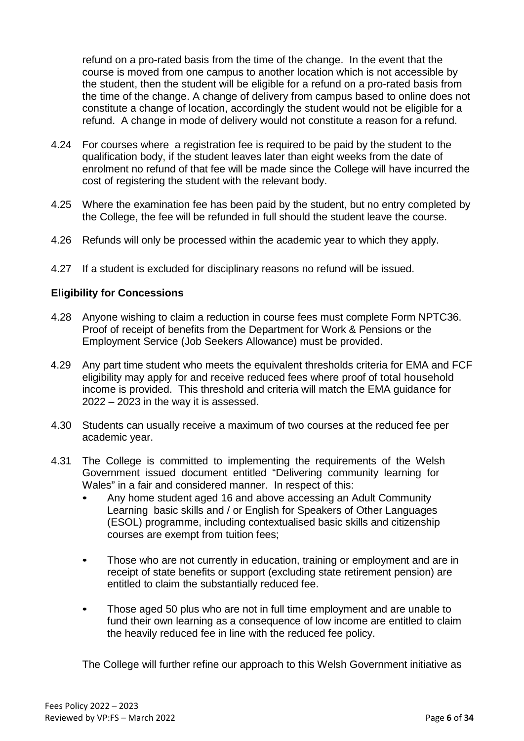refund on a pro-rated basis from the time of the change. In the event that the course is moved from one campus to another location which is not accessible by the student, then the student will be eligible for a refund on a pro-rated basis from the time of the change. A change of delivery from campus based to online does not constitute a change of location, accordingly the student would not be eligible for a refund. A change in mode of delivery would not constitute a reason for a refund.

- 4.24 For courses where a registration fee is required to be paid by the student to the qualification body, if the student leaves later than eight weeks from the date of enrolment no refund of that fee will be made since the College will have incurred the cost of registering the student with the relevant body.
- 4.25 Where the examination fee has been paid by the student, but no entry completed by the College, the fee will be refunded in full should the student leave the course.
- 4.26 Refunds will only be processed within the academic year to which they apply.
- 4.27 If a student is excluded for disciplinary reasons no refund will be issued.

#### **Eligibility for Concessions**

- 4.28 Anyone wishing to claim a reduction in course fees must complete Form NPTC36. Proof of receipt of benefits from the Department for Work & Pensions or the Employment Service (Job Seekers Allowance) must be provided.
- 4.29 Any part time student who meets the equivalent thresholds criteria for EMA and FCF eligibility may apply for and receive reduced fees where proof of total household income is provided. This threshold and criteria will match the EMA guidance for 2022 – 2023 in the way it is assessed.
- 4.30 Students can usually receive a maximum of two courses at the reduced fee per academic year.
- 4.31 The College is committed to implementing the requirements of the Welsh Government issued document entitled "Delivering community learning for Wales" in a fair and considered manner. In respect of this:
	- Any home student aged 16 and above accessing an Adult Community Learning basic skills and / or English for Speakers of Other Languages (ESOL) programme, including contextualised basic skills and citizenship courses are exempt from tuition fees;
	- Those who are not currently in education, training or employment and are in receipt of state benefits or support (excluding state retirement pension) are entitled to claim the substantially reduced fee.
	- Those aged 50 plus who are not in full time employment and are unable to fund their own learning as a consequence of low income are entitled to claim the heavily reduced fee in line with the reduced fee policy.

The College will further refine our approach to this Welsh Government initiative as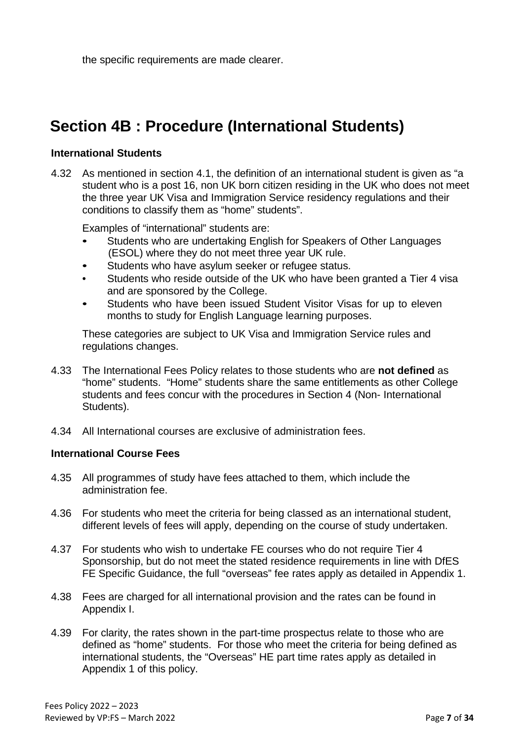the specific requirements are made clearer.

# **Section 4B : Procedure (International Students)**

#### **International Students**

4.32 As mentioned in section 4.1, the definition of an international student is given as "a student who is a post 16, non UK born citizen residing in the UK who does not meet the three year UK Visa and Immigration Service residency regulations and their conditions to classify them as "home" students".

Examples of "international" students are:

- Students who are undertaking English for Speakers of Other Languages (ESOL) where they do not meet three year UK rule.
- Students who have asylum seeker or refugee status.
- Students who reside outside of the UK who have been granted a Tier 4 visa and are sponsored by the College.
- Students who have been issued Student Visitor Visas for up to eleven months to study for English Language learning purposes.

These categories are subject to UK Visa and Immigration Service rules and regulations changes.

- 4.33 The International Fees Policy relates to those students who are **not defined** as "home" students. "Home" students share the same entitlements as other College students and fees concur with the procedures in Section 4 (Non- International Students).
- 4.34 All International courses are exclusive of administration fees.

#### **International Course Fees**

- 4.35 All programmes of study have fees attached to them, which include the administration fee.
- 4.36 For students who meet the criteria for being classed as an international student, different levels of fees will apply, depending on the course of study undertaken.
- 4.37 For students who wish to undertake FE courses who do not require Tier 4 Sponsorship, but do not meet the stated residence requirements in line with DfES FE Specific Guidance, the full "overseas" fee rates apply as detailed in Appendix 1.
- 4.38 Fees are charged for all international provision and the rates can be found in Appendix I.
- 4.39 For clarity, the rates shown in the part-time prospectus relate to those who are defined as "home" students. For those who meet the criteria for being defined as international students, the "Overseas" HE part time rates apply as detailed in Appendix 1 of this policy.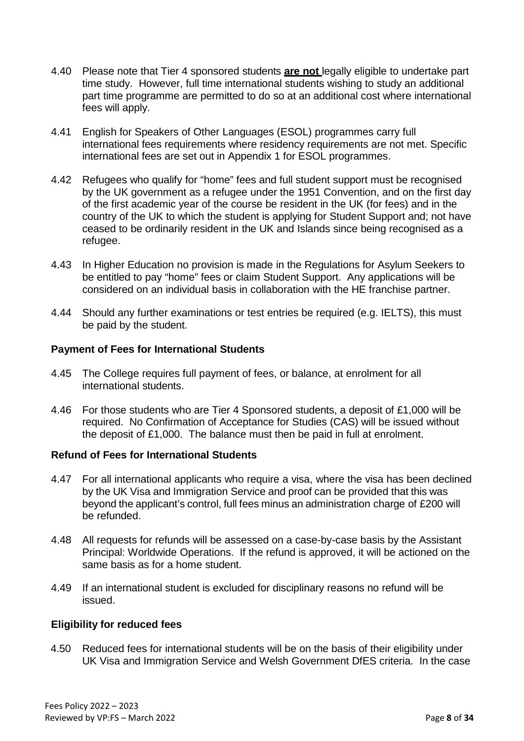- 4.40 Please note that Tier 4 sponsored students **are not** legally eligible to undertake part time study. However, full time international students wishing to study an additional part time programme are permitted to do so at an additional cost where international fees will apply.
- 4.41 English for Speakers of Other Languages (ESOL) programmes carry full international fees requirements where residency requirements are not met. Specific international fees are set out in Appendix 1 for ESOL programmes.
- 4.42 Refugees who qualify for "home" fees and full student support must be recognised by the UK government as a refugee under the 1951 Convention, and on the first day of the first academic year of the course be resident in the UK (for fees) and in the country of the UK to which the student is applying for Student Support and; not have ceased to be ordinarily resident in the UK and Islands since being recognised as a refugee.
- 4.43 In Higher Education no provision is made in the Regulations for Asylum Seekers to be entitled to pay "home" fees or claim Student Support. Any applications will be considered on an individual basis in collaboration with the HE franchise partner.
- 4.44 Should any further examinations or test entries be required (e.g. IELTS), this must be paid by the student.

#### **Payment of Fees for International Students**

- 4.45 The College requires full payment of fees, or balance, at enrolment for all international students.
- 4.46 For those students who are Tier 4 Sponsored students, a deposit of £1,000 will be required. No Confirmation of Acceptance for Studies (CAS) will be issued without the deposit of £1,000. The balance must then be paid in full at enrolment.

#### **Refund of Fees for International Students**

- 4.47 For all international applicants who require a visa, where the visa has been declined by the UK Visa and Immigration Service and proof can be provided that this was beyond the applicant's control, full fees minus an administration charge of £200 will be refunded.
- 4.48 All requests for refunds will be assessed on a case-by-case basis by the Assistant Principal: Worldwide Operations. If the refund is approved, it will be actioned on the same basis as for a home student.
- 4.49 If an international student is excluded for disciplinary reasons no refund will be issued.

#### **Eligibility for reduced fees**

4.50 Reduced fees for international students will be on the basis of their eligibility under UK Visa and Immigration Service and Welsh Government DfES criteria. In the case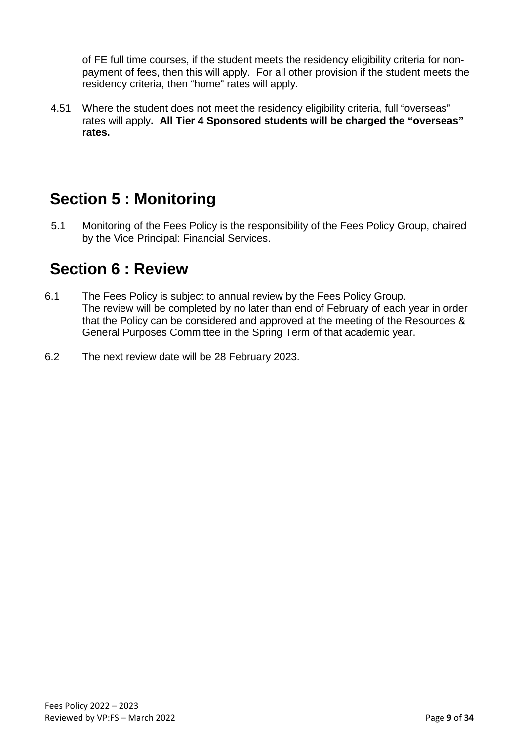of FE full time courses, if the student meets the residency eligibility criteria for nonpayment of fees, then this will apply. For all other provision if the student meets the residency criteria, then "home" rates will apply.

4.51 Where the student does not meet the residency eligibility criteria, full "overseas" rates will apply**. All Tier 4 Sponsored students will be charged the "overseas" rates.**

### **Section 5 : Monitoring**

5.1 Monitoring of the Fees Policy is the responsibility of the Fees Policy Group, chaired by the Vice Principal: Financial Services.

### **Section 6 : Review**

- 6.1 The Fees Policy is subject to annual review by the Fees Policy Group. The review will be completed by no later than end of February of each year in order that the Policy can be considered and approved at the meeting of the Resources & General Purposes Committee in the Spring Term of that academic year.
- 6.2 The next review date will be 28 February 2023.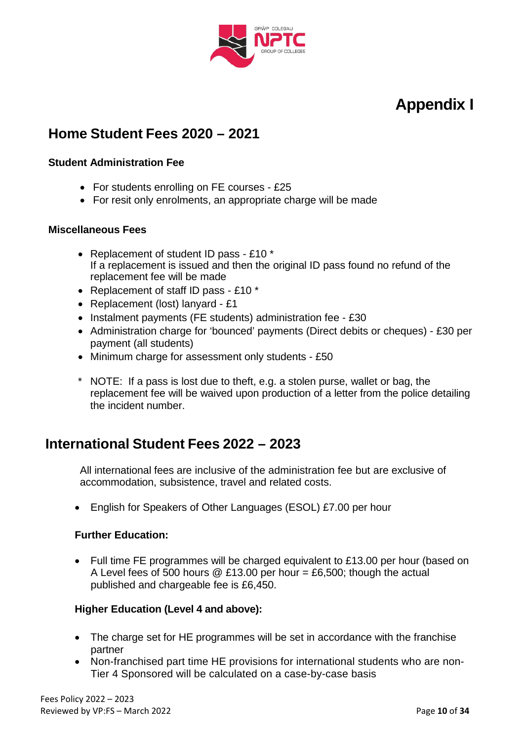

### **Home Student Fees 2020 – 2021**

#### **Student Administration Fee**

- For students enrolling on FE courses £25
- For resit only enrolments, an appropriate charge will be made

#### **Miscellaneous Fees**

- Replacement of student ID pass £10 \* If a replacement is issued and then the original ID pass found no refund of the replacement fee will be made
- Replacement of staff ID pass £10 \*
- Replacement (lost) lanyard £1
- Instalment payments (FE students) administration fee £30
- Administration charge for 'bounced' payments (Direct debits or cheques) £30 per payment (all students)
- Minimum charge for assessment only students £50
- \* NOTE: If a pass is lost due to theft, e.g. a stolen purse, wallet or bag, the replacement fee will be waived upon production of a letter from the police detailing the incident number.

### **International Student Fees 2022 – 2023**

All international fees are inclusive of the administration fee but are exclusive of accommodation, subsistence, travel and related costs.

• English for Speakers of Other Languages (ESOL) £7.00 per hour

### **Further Education:**

• Full time FE programmes will be charged equivalent to £13.00 per hour (based on A Level fees of 500 hours  $@E13.00$  per hour = £6,500; though the actual published and chargeable fee is £6,450.

### **Higher Education (Level 4 and above):**

- The charge set for HE programmes will be set in accordance with the franchise partner
- Non-franchised part time HE provisions for international students who are non-Tier 4 Sponsored will be calculated on a case-by-case basis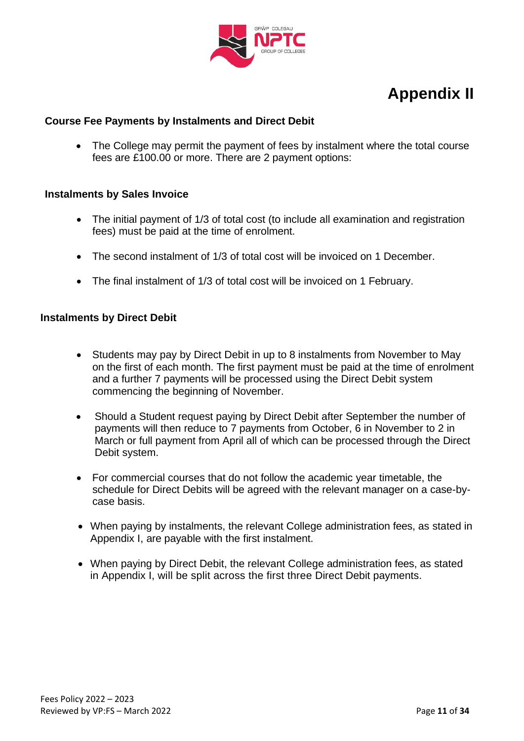

#### **Course Fee Payments by Instalments and Direct Debit**

• The College may permit the payment of fees by instalment where the total course fees are £100.00 or more. There are 2 payment options:

#### **Instalments by Sales Invoice**

- The initial payment of 1/3 of total cost (to include all examination and registration fees) must be paid at the time of enrolment.
- The second instalment of 1/3 of total cost will be invoiced on 1 December.
- The final instalment of 1/3 of total cost will be invoiced on 1 February.

#### **Instalments by Direct Debit**

- Students may pay by Direct Debit in up to 8 instalments from November to May on the first of each month. The first payment must be paid at the time of enrolment and a further 7 payments will be processed using the Direct Debit system commencing the beginning of November.
- Should a Student request paying by Direct Debit after September the number of payments will then reduce to 7 payments from October, 6 in November to 2 in March or full payment from April all of which can be processed through the Direct Debit system.
- For commercial courses that do not follow the academic year timetable, the schedule for Direct Debits will be agreed with the relevant manager on a case-bycase basis.
- When paying by instalments, the relevant College administration fees, as stated in Appendix I, are payable with the first instalment.
- When paying by Direct Debit, the relevant College administration fees, as stated in Appendix I, will be split across the first three Direct Debit payments.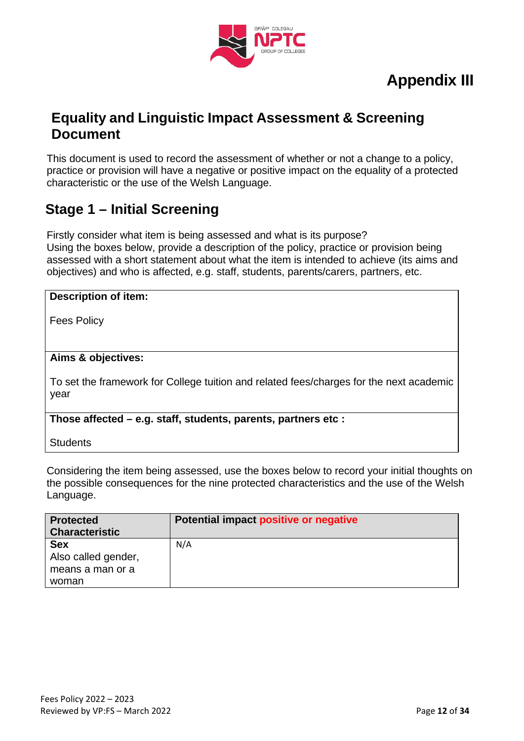

### **Equality and Linguistic Impact Assessment & Screening Document**

This document is used to record the assessment of whether or not a change to a policy, practice or provision will have a negative or positive impact on the equality of a protected characteristic or the use of the Welsh Language.

### **Stage 1 – Initial Screening**

Firstly consider what item is being assessed and what is its purpose?

Using the boxes below, provide a description of the policy, practice or provision being assessed with a short statement about what the item is intended to achieve (its aims and objectives) and who is affected, e.g. staff, students, parents/carers, partners, etc.

| Description of item:                                                                            |
|-------------------------------------------------------------------------------------------------|
| <b>Fees Policy</b>                                                                              |
|                                                                                                 |
| Aims & objectives:                                                                              |
| To set the framework for College tuition and related fees/charges for the next academic<br>year |
| Those affected – e.g. staff, students, parents, partners etc :                                  |

**Students** 

Considering the item being assessed, use the boxes below to record your initial thoughts on the possible consequences for the nine protected characteristics and the use of the Welsh Language.

| <b>Protected</b>      | Potential impact positive or negative |
|-----------------------|---------------------------------------|
| <b>Characteristic</b> |                                       |
| <b>Sex</b>            | N/A                                   |
| Also called gender,   |                                       |
| means a man or a      |                                       |
| woman                 |                                       |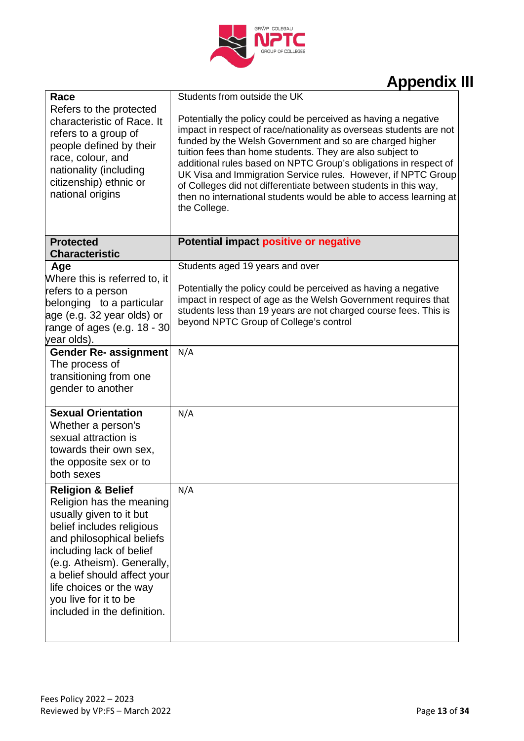

| Race                                                                                                                                                                                                                                                                                                                      | Students from outside the UK                                                                                                                                                                                                                                                                                                                                                                                                                                                                                                                                |
|---------------------------------------------------------------------------------------------------------------------------------------------------------------------------------------------------------------------------------------------------------------------------------------------------------------------------|-------------------------------------------------------------------------------------------------------------------------------------------------------------------------------------------------------------------------------------------------------------------------------------------------------------------------------------------------------------------------------------------------------------------------------------------------------------------------------------------------------------------------------------------------------------|
| Refers to the protected<br>characteristic of Race. It<br>refers to a group of<br>people defined by their<br>race, colour, and<br>nationality (including<br>citizenship) ethnic or<br>national origins                                                                                                                     | Potentially the policy could be perceived as having a negative<br>impact in respect of race/nationality as overseas students are not<br>funded by the Welsh Government and so are charged higher<br>tuition fees than home students. They are also subject to<br>additional rules based on NPTC Group's obligations in respect of<br>UK Visa and Immigration Service rules. However, if NPTC Group<br>of Colleges did not differentiate between students in this way,<br>then no international students would be able to access learning at<br>the College. |
| <b>Protected</b><br><b>Characteristic</b>                                                                                                                                                                                                                                                                                 | Potential impact positive or negative                                                                                                                                                                                                                                                                                                                                                                                                                                                                                                                       |
| Age                                                                                                                                                                                                                                                                                                                       | Students aged 19 years and over                                                                                                                                                                                                                                                                                                                                                                                                                                                                                                                             |
| Where this is referred to, it<br>refers to a person<br>belonging to a particular<br>age (e.g. 32 year olds) or<br>range of ages (e.g. 18 - 30<br>year olds).                                                                                                                                                              | Potentially the policy could be perceived as having a negative<br>impact in respect of age as the Welsh Government requires that<br>students less than 19 years are not charged course fees. This is<br>beyond NPTC Group of College's control                                                                                                                                                                                                                                                                                                              |
| <b>Gender Re- assignment</b><br>The process of<br>transitioning from one<br>gender to another                                                                                                                                                                                                                             | N/A                                                                                                                                                                                                                                                                                                                                                                                                                                                                                                                                                         |
| <b>Sexual Orientation</b><br>Whether a person's<br>sexual attraction is<br>towards their own sex,<br>the opposite sex or to<br>both sexes                                                                                                                                                                                 | N/A                                                                                                                                                                                                                                                                                                                                                                                                                                                                                                                                                         |
| <b>Religion &amp; Belief</b><br>Religion has the meaning<br>usually given to it but<br>belief includes religious<br>and philosophical beliefs<br>including lack of belief<br>(e.g. Atheism). Generally,<br>a belief should affect your<br>life choices or the way<br>you live for it to be<br>included in the definition. | N/A                                                                                                                                                                                                                                                                                                                                                                                                                                                                                                                                                         |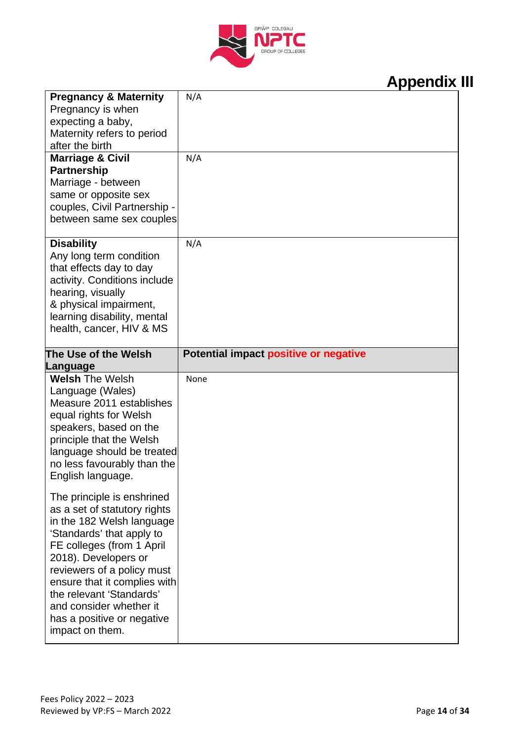

| <b>Pregnancy &amp; Maternity</b>              | N/A                                   |
|-----------------------------------------------|---------------------------------------|
| Pregnancy is when                             |                                       |
| expecting a baby,                             |                                       |
| Maternity refers to period                    |                                       |
| after the birth                               |                                       |
| <b>Marriage &amp; Civil</b>                   | N/A                                   |
| <b>Partnership</b>                            |                                       |
| Marriage - between                            |                                       |
| same or opposite sex                          |                                       |
| couples, Civil Partnership -                  |                                       |
| between same sex couples                      |                                       |
|                                               |                                       |
| <b>Disability</b>                             | N/A                                   |
| Any long term condition                       |                                       |
| that effects day to day                       |                                       |
| activity. Conditions include                  |                                       |
| hearing, visually                             |                                       |
| & physical impairment,                        |                                       |
| learning disability, mental                   |                                       |
| health, cancer, HIV & MS                      |                                       |
|                                               |                                       |
| The Use of the Welsh                          | Potential impact positive or negative |
|                                               |                                       |
| Language                                      |                                       |
| <b>Welsh The Welsh</b>                        | None                                  |
| Language (Wales)                              |                                       |
| Measure 2011 establishes                      |                                       |
| equal rights for Welsh                        |                                       |
| speakers, based on the                        |                                       |
| principle that the Welsh                      |                                       |
| language should be treated                    |                                       |
| no less favourably than the                   |                                       |
| English language.                             |                                       |
|                                               |                                       |
| The principle is enshrined                    |                                       |
| as a set of statutory rights                  |                                       |
| in the 182 Welsh language                     |                                       |
| 'Standards' that apply to                     |                                       |
| FE colleges (from 1 April                     |                                       |
| 2018). Developers or                          |                                       |
| reviewers of a policy must                    |                                       |
| ensure that it complies with                  |                                       |
| the relevant 'Standards'                      |                                       |
| and consider whether it                       |                                       |
| has a positive or negative<br>impact on them. |                                       |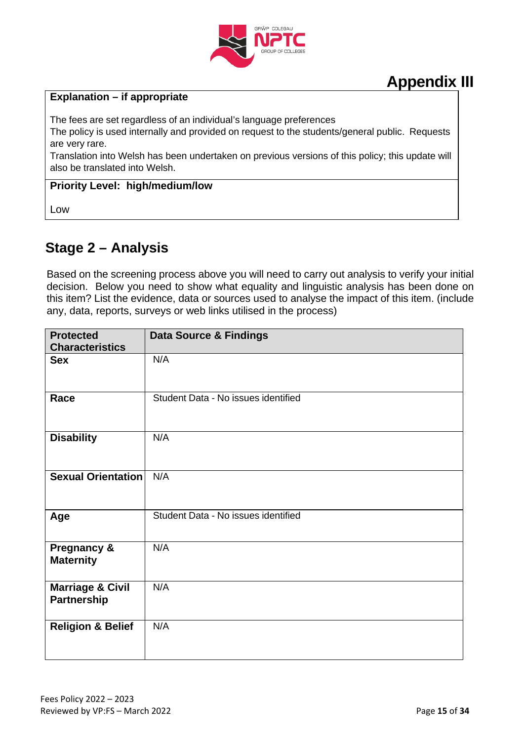

#### **Explanation – if appropriate**

The fees are set regardless of an individual's language preferences

The policy is used internally and provided on request to the students/general public. Requests are very rare.

Translation into Welsh has been undertaken on previous versions of this policy; this update will also be translated into Welsh.

#### **Priority Level: high/medium/low**

Low

### **Stage 2 – Analysis**

Based on the screening process above you will need to carry out analysis to verify your initial decision. Below you need to show what equality and linguistic analysis has been done on this item? List the evidence, data or sources used to analyse the impact of this item. (include any, data, reports, surveys or web links utilised in the process)

| <b>Protected</b><br><b>Characteristics</b> | <b>Data Source &amp; Findings</b>   |
|--------------------------------------------|-------------------------------------|
| <b>Sex</b>                                 | N/A                                 |
|                                            |                                     |
| Race                                       | Student Data - No issues identified |
| <b>Disability</b>                          | N/A                                 |
| <b>Sexual Orientation</b>                  | N/A                                 |
| Age                                        | Student Data - No issues identified |
| <b>Pregnancy &amp;</b><br><b>Maternity</b> | N/A                                 |
| <b>Marriage &amp; Civil</b><br>Partnership | N/A                                 |
| <b>Religion &amp; Belief</b>               | N/A                                 |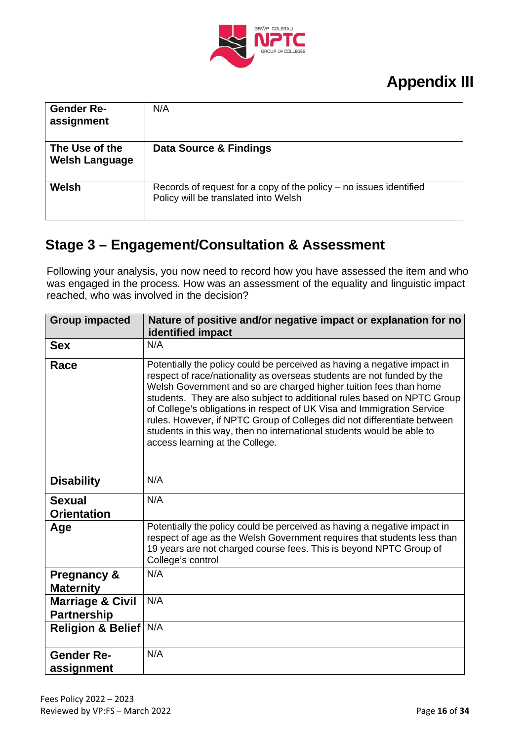

| <b>Gender Re-</b><br>assignment         | N/A                                                                                                          |
|-----------------------------------------|--------------------------------------------------------------------------------------------------------------|
| The Use of the<br><b>Welsh Language</b> | Data Source & Findings                                                                                       |
| Welsh                                   | Records of request for a copy of the policy $-$ no issues identified<br>Policy will be translated into Welsh |

### **Stage 3 – Engagement/Consultation & Assessment**

Following your analysis, you now need to record how you have assessed the item and who was engaged in the process. How was an assessment of the equality and linguistic impact reached, who was involved in the decision?

| <b>Group impacted</b>                             | Nature of positive and/or negative impact or explanation for no<br>identified impact                                                                                                                                                                                                                                                                                                                                                                                                                                                                                |
|---------------------------------------------------|---------------------------------------------------------------------------------------------------------------------------------------------------------------------------------------------------------------------------------------------------------------------------------------------------------------------------------------------------------------------------------------------------------------------------------------------------------------------------------------------------------------------------------------------------------------------|
| <b>Sex</b>                                        | N/A                                                                                                                                                                                                                                                                                                                                                                                                                                                                                                                                                                 |
| Race                                              | Potentially the policy could be perceived as having a negative impact in<br>respect of race/nationality as overseas students are not funded by the<br>Welsh Government and so are charged higher tuition fees than home<br>students. They are also subject to additional rules based on NPTC Group<br>of College's obligations in respect of UK Visa and Immigration Service<br>rules. However, if NPTC Group of Colleges did not differentiate between<br>students in this way, then no international students would be able to<br>access learning at the College. |
| <b>Disability</b>                                 | N/A                                                                                                                                                                                                                                                                                                                                                                                                                                                                                                                                                                 |
| <b>Sexual</b><br><b>Orientation</b>               | N/A                                                                                                                                                                                                                                                                                                                                                                                                                                                                                                                                                                 |
| Age                                               | Potentially the policy could be perceived as having a negative impact in<br>respect of age as the Welsh Government requires that students less than<br>19 years are not charged course fees. This is beyond NPTC Group of<br>College's control                                                                                                                                                                                                                                                                                                                      |
| <b>Pregnancy &amp;</b><br><b>Maternity</b>        | N/A                                                                                                                                                                                                                                                                                                                                                                                                                                                                                                                                                                 |
| <b>Marriage &amp; Civil</b><br><b>Partnership</b> | N/A                                                                                                                                                                                                                                                                                                                                                                                                                                                                                                                                                                 |
| <b>Religion &amp; Belief</b>                      | N/A                                                                                                                                                                                                                                                                                                                                                                                                                                                                                                                                                                 |
| <b>Gender Re-</b><br>assignment                   | N/A                                                                                                                                                                                                                                                                                                                                                                                                                                                                                                                                                                 |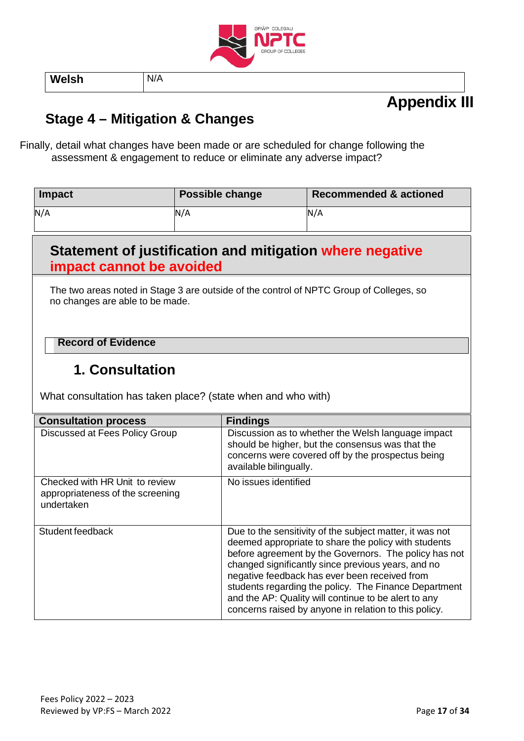

**Welsh** N/A

# **Appendix III**

### **Stage 4 – Mitigation & Changes**

Finally, detail what changes have been made or are scheduled for change following the assessment & engagement to reduce or eliminate any adverse impact?

| <b>Impact</b> | <b>Possible change</b> | <b>Recommended &amp; actioned</b> |
|---------------|------------------------|-----------------------------------|
| N/A           | N/A                    | N/A                               |

### **Statement of justification and mitigation where negative impact cannot be avoided**

The two areas noted in Stage 3 are outside of the control of NPTC Group of Colleges, so no changes are able to be made.

#### **Record of Evidence**

### **1. Consultation**

What consultation has taken place? (state when and who with)

| <b>Consultation process</b>                                                      | <b>Findings</b>                                                                                                                                                                                                                                                                                                                                                                                                                                            |
|----------------------------------------------------------------------------------|------------------------------------------------------------------------------------------------------------------------------------------------------------------------------------------------------------------------------------------------------------------------------------------------------------------------------------------------------------------------------------------------------------------------------------------------------------|
| Discussed at Fees Policy Group                                                   | Discussion as to whether the Welsh language impact<br>should be higher, but the consensus was that the<br>concerns were covered off by the prospectus being<br>available bilingually.                                                                                                                                                                                                                                                                      |
| Checked with HR Unit to review<br>appropriateness of the screening<br>undertaken | No issues identified                                                                                                                                                                                                                                                                                                                                                                                                                                       |
| Student feedback                                                                 | Due to the sensitivity of the subject matter, it was not<br>deemed appropriate to share the policy with students<br>before agreement by the Governors. The policy has not<br>changed significantly since previous years, and no<br>negative feedback has ever been received from<br>students regarding the policy. The Finance Department<br>and the AP: Quality will continue to be alert to any<br>concerns raised by anyone in relation to this policy. |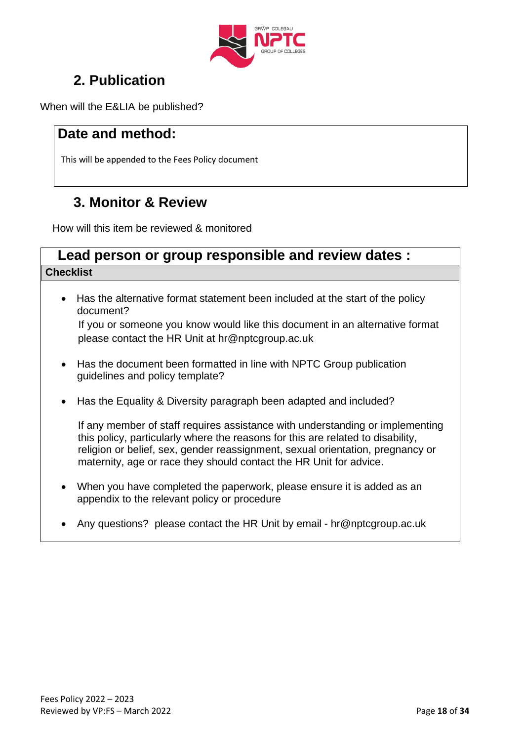

### **2. Publication**

When will the E&LIA be published?

### **Date and method:**

This will be appended to the Fees Policy document

### **3. Monitor & Review**

How will this item be reviewed & monitored

### **Lead person or group responsible and review dates : Checklist**

- Has the alternative format statement been included at the start of the policy document? If you or someone you know would like this document in an alternative format please contact the HR Unit at [hr@nptcgroup.ac.uk](mailto:hr@nptcgroup.ac.uk)
- Has the document been formatted in line with NPTC Group publication guidelines and policy template?
- Has the Equality & Diversity paragraph been adapted and included?

If any member of staff requires assistance with understanding or implementing this policy, particularly where the reasons for this are related to disability, religion or belief, sex, gender reassignment, sexual orientation, pregnancy or maternity, age or race they should contact the HR Unit for advice.

- When you have completed the paperwork, please ensure it is added as an appendix to the relevant policy or procedure
- Any questions? please contact the HR Unit by email [hr@nptcgroup.ac.uk](mailto:hr@nptcgroup.ac.uk)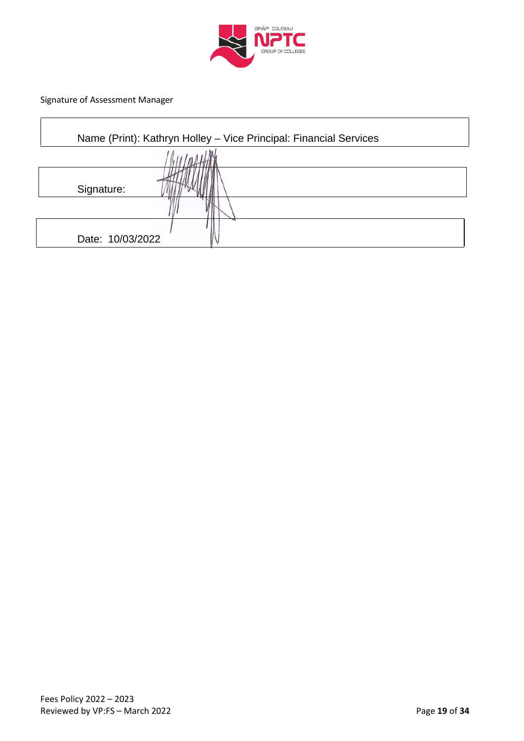

Signature of Assessment Manager

 $\Gamma$ 

| Name (Print): Kathryn Holley - Vice Principal: Financial Services |  |
|-------------------------------------------------------------------|--|
|                                                                   |  |
| Signature:                                                        |  |
|                                                                   |  |
|                                                                   |  |
| Date: 10/03/2022                                                  |  |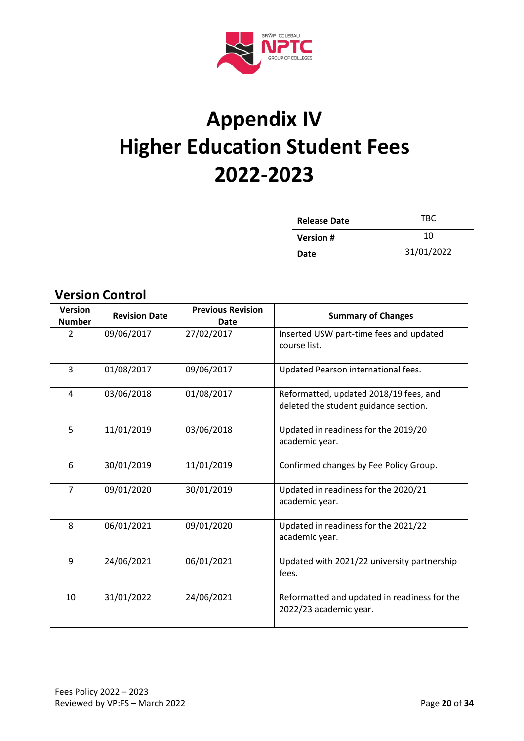

# **Appendix IV Higher Education Student Fees 2022-2023**

| <b>Release Date</b> | TBC        |
|---------------------|------------|
| <b>Version#</b>     | 10         |
| Date                | 31/01/2022 |

| וט וויוטט וועוכ וס א            |                      |                                         |                                                                                 |
|---------------------------------|----------------------|-----------------------------------------|---------------------------------------------------------------------------------|
| <b>Version</b><br><b>Number</b> | <b>Revision Date</b> | <b>Previous Revision</b><br><b>Date</b> | <b>Summary of Changes</b>                                                       |
| 2                               | 09/06/2017           | 27/02/2017                              | Inserted USW part-time fees and updated<br>course list.                         |
| 3                               | 01/08/2017           | 09/06/2017                              | Updated Pearson international fees.                                             |
| 4                               | 03/06/2018           | 01/08/2017                              | Reformatted, updated 2018/19 fees, and<br>deleted the student guidance section. |
| 5                               | 11/01/2019           | 03/06/2018                              | Updated in readiness for the 2019/20<br>academic year.                          |
| 6                               | 30/01/2019           | 11/01/2019                              | Confirmed changes by Fee Policy Group.                                          |
| $\overline{7}$                  | 09/01/2020           | 30/01/2019                              | Updated in readiness for the 2020/21<br>academic year.                          |
| 8                               | 06/01/2021           | 09/01/2020                              | Updated in readiness for the 2021/22<br>academic year.                          |
| 9                               | 24/06/2021           | 06/01/2021                              | Updated with 2021/22 university partnership<br>fees.                            |
| 10                              | 31/01/2022           | 24/06/2021                              | Reformatted and updated in readiness for the<br>2022/23 academic year.          |

### **Version Control**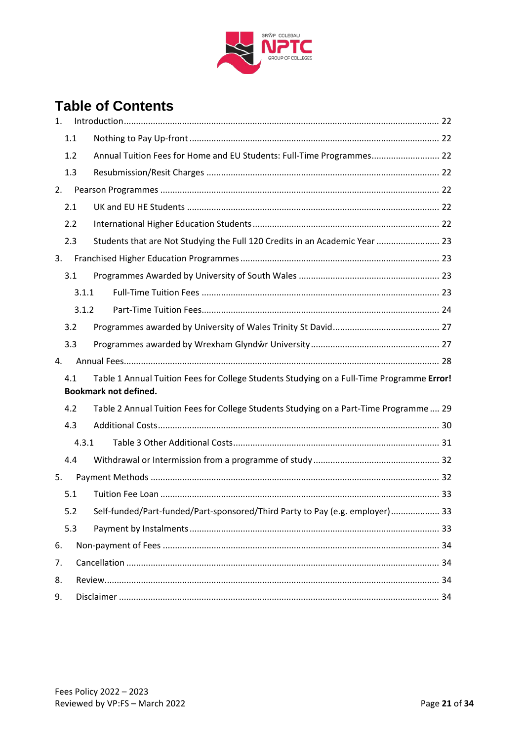

### **Table of Contents**

| 1.             |     |       |                                                                                                                           |  |
|----------------|-----|-------|---------------------------------------------------------------------------------------------------------------------------|--|
|                | 1.1 |       |                                                                                                                           |  |
|                | 1.2 |       | Annual Tuition Fees for Home and EU Students: Full-Time Programmes 22                                                     |  |
|                | 1.3 |       |                                                                                                                           |  |
| 2.             |     |       |                                                                                                                           |  |
|                | 2.1 |       |                                                                                                                           |  |
|                | 2.2 |       |                                                                                                                           |  |
|                | 2.3 |       | Students that are Not Studying the Full 120 Credits in an Academic Year  23                                               |  |
| 3.             |     |       |                                                                                                                           |  |
|                | 3.1 |       |                                                                                                                           |  |
|                |     | 3.1.1 |                                                                                                                           |  |
|                |     | 3.1.2 |                                                                                                                           |  |
|                | 3.2 |       |                                                                                                                           |  |
|                | 3.3 |       |                                                                                                                           |  |
| $\mathbf{4}$ . |     |       |                                                                                                                           |  |
|                | 4.1 |       | Table 1 Annual Tuition Fees for College Students Studying on a Full-Time Programme Error!<br><b>Bookmark not defined.</b> |  |
|                | 4.2 |       | Table 2 Annual Tuition Fees for College Students Studying on a Part-Time Programme 29                                     |  |
|                | 4.3 |       |                                                                                                                           |  |
|                |     | 4.3.1 |                                                                                                                           |  |
|                | 4.4 |       |                                                                                                                           |  |
| 5.             |     |       |                                                                                                                           |  |
|                | 5.1 |       |                                                                                                                           |  |
|                | 5.2 |       | Self-funded/Part-funded/Part-sponsored/Third Party to Pay (e.g. employer) 33                                              |  |
|                | 5.3 |       |                                                                                                                           |  |
| 6.             |     |       |                                                                                                                           |  |
| 7.             |     |       |                                                                                                                           |  |
| 8.             |     |       |                                                                                                                           |  |
| 9.             |     |       |                                                                                                                           |  |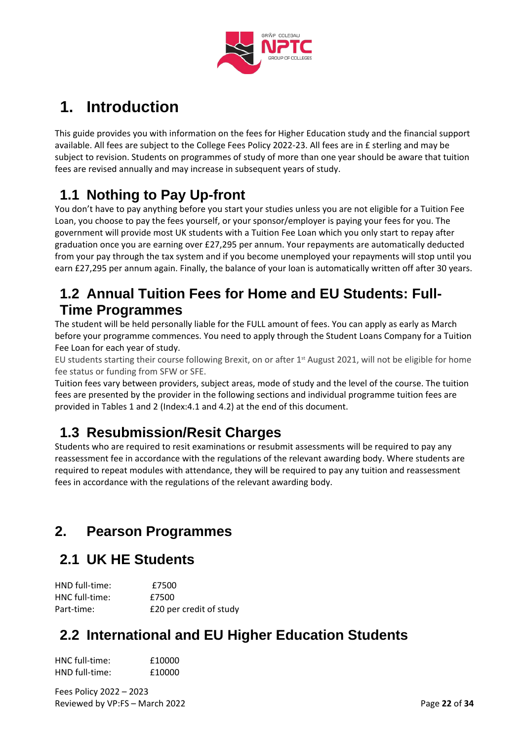

# <span id="page-21-0"></span>**1. Introduction**

This guide provides you with information on the fees for Higher Education study and the financial support available. All fees are subject to the College Fees Policy 2022-23. All fees are in £ sterling and may be subject to revision. Students on programmes of study of more than one year should be aware that tuition fees are revised annually and may increase in subsequent years of study.

### <span id="page-21-1"></span>**1.1 Nothing to Pay Up-front**

You don't have to pay anything before you start your studies unless you are not eligible for a Tuition Fee Loan, you choose to pay the fees yourself, or your sponsor/employer is paying your fees for you. The government will provide most UK students with a Tuition Fee Loan which you only start to repay after graduation once you are earning over £27,295 per annum. Your repayments are automatically deducted from your pay through the tax system and if you become unemployed your repayments will stop until you earn £27,295 per annum again. Finally, the balance of your loan is automatically written off after 30 years.

### <span id="page-21-2"></span>**1.2 Annual Tuition Fees for Home and EU Students: Full-Time Programmes**

The student will be held personally liable for the FULL amount of fees. You can apply as early as March before your programme commences. You need to apply through the Student Loans Company for a Tuition Fee Loan for each year of study.

EU students starting their course following Brexit, on or after 1st August 2021, will not be eligible for home fee status or funding from SFW or SFE.

Tuition fees vary between providers, subject areas, mode of study and the level of the course. The tuition fees are presented by the provider in the following sections and individual programme tuition fees are provided in Tables 1 and 2 (Index:4.1 and 4.2) at the end of this document.

### <span id="page-21-3"></span>**1.3 Resubmission/Resit Charges**

Students who are required to resit examinations or resubmit assessments will be required to pay any reassessment fee in accordance with the regulations of the relevant awarding body. Where students are required to repeat modules with attendance, they will be required to pay any tuition and reassessment fees in accordance with the regulations of the relevant awarding body.

### <span id="page-21-4"></span>**2. Pearson Programmes**

### <span id="page-21-5"></span>**2.1 UK HE Students**

| HND full-time: | £7500                   |
|----------------|-------------------------|
| HNC full-time: | £7500                   |
| Part-time:     | £20 per credit of study |

### <span id="page-21-6"></span>**2.2 International and EU Higher Education Students**

| HNC full-time: | £10000 |
|----------------|--------|
| HND full-time: | £10000 |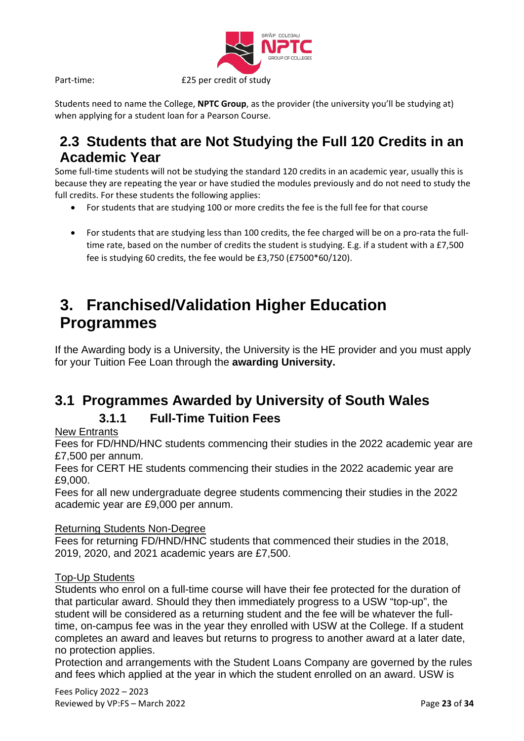

Students need to name the College, **NPTC Group**, as the provider (the university you'll be studying at) when applying for a student loan for a Pearson Course.

### <span id="page-22-0"></span>**2.3 Students that are Not Studying the Full 120 Credits in an Academic Year**

Some full-time students will not be studying the standard 120 credits in an academic year, usually this is because they are repeating the year or have studied the modules previously and do not need to study the full credits. For these students the following applies:

- For students that are studying 100 or more credits the fee is the full fee for that course
- For students that are studying less than 100 credits, the fee charged will be on a pro-rata the fulltime rate, based on the number of credits the student is studying. E.g. if a student with a £7,500 fee is studying 60 credits, the fee would be £3,750 (£7500\*60/120).

# <span id="page-22-1"></span>**3. Franchised/Validation Higher Education Programmes**

If the Awarding body is a University, the University is the HE provider and you must apply for your Tuition Fee Loan through the **awarding University.**

### <span id="page-22-3"></span><span id="page-22-2"></span>**3.1 Programmes Awarded by University of South Wales**

### **3.1.1 Full-Time Tuition Fees**

### New Entrants

Fees for FD/HND/HNC students commencing their studies in the 2022 academic year are £7,500 per annum.

Fees for CERT HE students commencing their studies in the 2022 academic year are £9,000.

Fees for all new undergraduate degree students commencing their studies in the 2022 academic year are £9,000 per annum.

### Returning Students Non-Degree

Fees for returning FD/HND/HNC students that commenced their studies in the 2018, 2019, 2020, and 2021 academic years are £7,500.

### Top-Up Students

Students who enrol on a full-time course will have their fee protected for the duration of that particular award. Should they then immediately progress to a USW "top-up", the student will be considered as a returning student and the fee will be whatever the fulltime, on-campus fee was in the year they enrolled with USW at the College. If a student completes an award and leaves but returns to progress to another award at a later date, no protection applies.

Protection and arrangements with the Student Loans Company are governed by the rules and fees which applied at the year in which the student enrolled on an award. USW is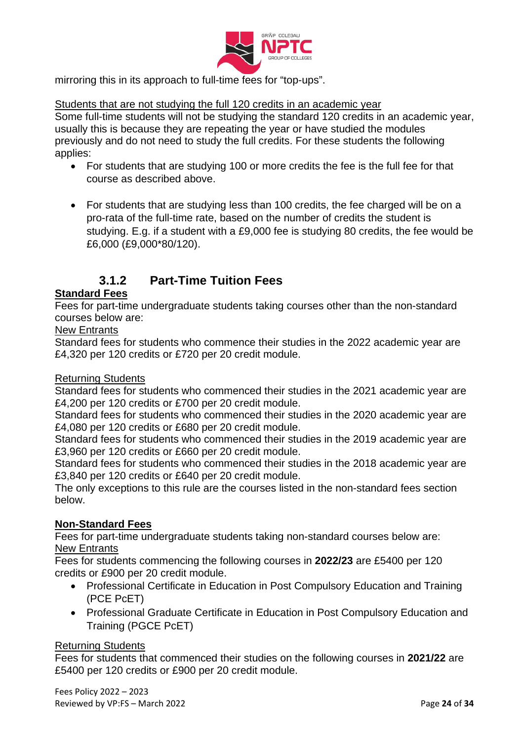

mirroring this in its approach to full-time fees for "top-ups".

#### Students that are not studying the full 120 credits in an academic year

Some full-time students will not be studying the standard 120 credits in an academic year, usually this is because they are repeating the year or have studied the modules previously and do not need to study the full credits. For these students the following applies:

- For students that are studying 100 or more credits the fee is the full fee for that course as described above.
- For students that are studying less than 100 credits, the fee charged will be on a pro-rata of the full-time rate, based on the number of credits the student is studying. E.g. if a student with a £9,000 fee is studying 80 credits, the fee would be £6,000 (£9,000\*80/120).

### **3.1.2 Part-Time Tuition Fees**

### <span id="page-23-0"></span>**Standard Fees**

Fees for part-time undergraduate students taking courses other than the non-standard courses below are:

New Entrants

Standard fees for students who commence their studies in the 2022 academic year are £4,320 per 120 credits or £720 per 20 credit module.

#### Returning Students

Standard fees for students who commenced their studies in the 2021 academic year are £4,200 per 120 credits or £700 per 20 credit module.

Standard fees for students who commenced their studies in the 2020 academic year are £4,080 per 120 credits or £680 per 20 credit module.

Standard fees for students who commenced their studies in the 2019 academic year are £3,960 per 120 credits or £660 per 20 credit module.

Standard fees for students who commenced their studies in the 2018 academic year are £3,840 per 120 credits or £640 per 20 credit module.

The only exceptions to this rule are the courses listed in the non-standard fees section below.

#### **Non-Standard Fees**

Fees for part-time undergraduate students taking non-standard courses below are: New Entrants

Fees for students commencing the following courses in **2022/23** are £5400 per 120 credits or £900 per 20 credit module.

- Professional Certificate in Education in Post Compulsory Education and Training (PCE PcET)
- Professional Graduate Certificate in Education in Post Compulsory Education and Training (PGCE PcET)

#### Returning Students

Fees for students that commenced their studies on the following courses in **2021/22** are £5400 per 120 credits or £900 per 20 credit module.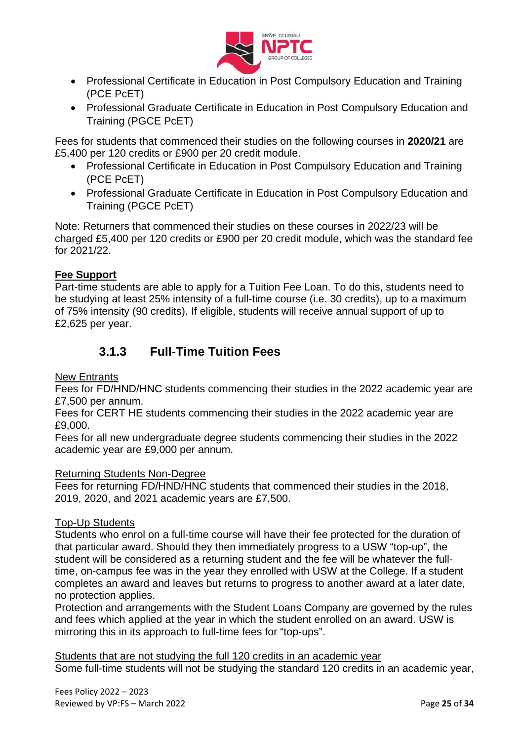

- Professional Certificate in Education in Post Compulsory Education and Training (PCE PcET)
- Professional Graduate Certificate in Education in Post Compulsory Education and Training (PGCE PcET)

Fees for students that commenced their studies on the following courses in **2020/21** are £5,400 per 120 credits or £900 per 20 credit module.

- Professional Certificate in Education in Post Compulsory Education and Training (PCE PcET)
- Professional Graduate Certificate in Education in Post Compulsory Education and Training (PGCE PcET)

Note: Returners that commenced their studies on these courses in 2022/23 will be charged £5,400 per 120 credits or £900 per 20 credit module, which was the standard fee for 2021/22.

### **Fee Support**

Part-time students are able to apply for a Tuition Fee Loan. To do this, students need to be studying at least 25% intensity of a full-time course (i.e. 30 credits), up to a maximum of 75% intensity (90 credits). If eligible, students will receive annual support of up to £2,625 per year.

### **3.1.3 Full-Time Tuition Fees**

#### New Entrants

Fees for FD/HND/HNC students commencing their studies in the 2022 academic year are £7,500 per annum.

Fees for CERT HE students commencing their studies in the 2022 academic year are £9,000.

Fees for all new undergraduate degree students commencing their studies in the 2022 academic year are £9,000 per annum.

#### Returning Students Non-Degree

Fees for returning FD/HND/HNC students that commenced their studies in the 2018, 2019, 2020, and 2021 academic years are £7,500.

### Top-Up Students

Students who enrol on a full-time course will have their fee protected for the duration of that particular award. Should they then immediately progress to a USW "top-up", the student will be considered as a returning student and the fee will be whatever the fulltime, on-campus fee was in the year they enrolled with USW at the College. If a student completes an award and leaves but returns to progress to another award at a later date, no protection applies.

Protection and arrangements with the Student Loans Company are governed by the rules and fees which applied at the year in which the student enrolled on an award. USW is mirroring this in its approach to full-time fees for "top-ups".

Students that are not studying the full 120 credits in an academic year

Some full-time students will not be studying the standard 120 credits in an academic year,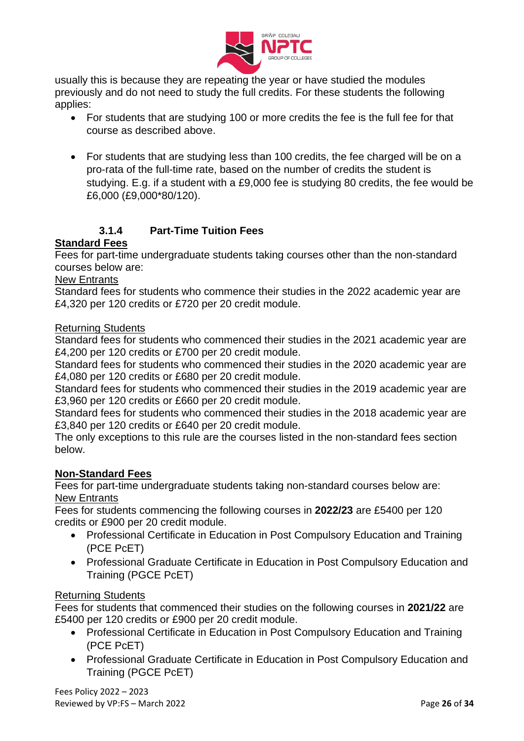

usually this is because they are repeating the year or have studied the modules previously and do not need to study the full credits. For these students the following applies:

- For students that are studying 100 or more credits the fee is the full fee for that course as described above.
- For students that are studying less than 100 credits, the fee charged will be on a pro-rata of the full-time rate, based on the number of credits the student is studying. E.g. if a student with a £9,000 fee is studying 80 credits, the fee would be £6,000 (£9,000\*80/120).

### **3.1.4 Part-Time Tuition Fees**

### **Standard Fees**

Fees for part-time undergraduate students taking courses other than the non-standard courses below are:

#### New Entrants

Standard fees for students who commence their studies in the 2022 academic year are £4,320 per 120 credits or £720 per 20 credit module.

#### Returning Students

Standard fees for students who commenced their studies in the 2021 academic year are £4,200 per 120 credits or £700 per 20 credit module.

Standard fees for students who commenced their studies in the 2020 academic year are £4,080 per 120 credits or £680 per 20 credit module.

Standard fees for students who commenced their studies in the 2019 academic year are £3,960 per 120 credits or £660 per 20 credit module.

Standard fees for students who commenced their studies in the 2018 academic year are £3,840 per 120 credits or £640 per 20 credit module.

The only exceptions to this rule are the courses listed in the non-standard fees section below.

### **Non-Standard Fees**

Fees for part-time undergraduate students taking non-standard courses below are: New Entrants

Fees for students commencing the following courses in **2022/23** are £5400 per 120 credits or £900 per 20 credit module.

- Professional Certificate in Education in Post Compulsory Education and Training (PCE PcET)
- Professional Graduate Certificate in Education in Post Compulsory Education and Training (PGCE PcET)

#### Returning Students

Fees for students that commenced their studies on the following courses in **2021/22** are £5400 per 120 credits or £900 per 20 credit module.

- Professional Certificate in Education in Post Compulsory Education and Training (PCE PcET)
- Professional Graduate Certificate in Education in Post Compulsory Education and Training (PGCE PcET)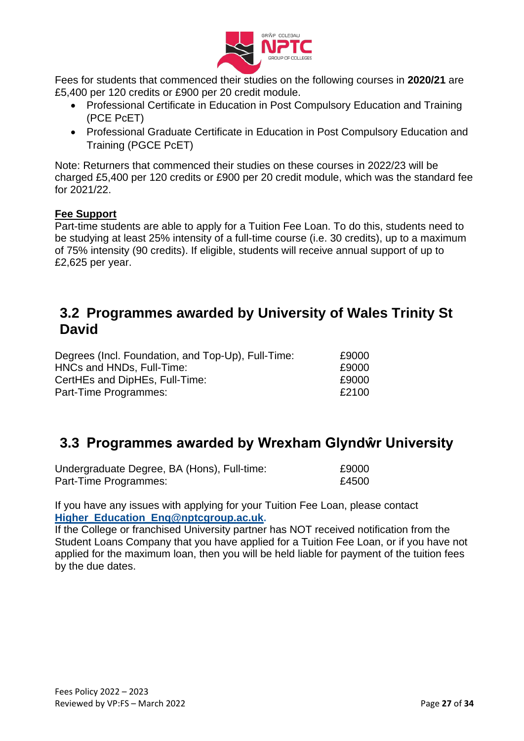

Fees for students that commenced their studies on the following courses in **2020/21** are £5,400 per 120 credits or £900 per 20 credit module.

- Professional Certificate in Education in Post Compulsory Education and Training (PCE PcET)
- Professional Graduate Certificate in Education in Post Compulsory Education and Training (PGCE PcET)

Note: Returners that commenced their studies on these courses in 2022/23 will be charged £5,400 per 120 credits or £900 per 20 credit module, which was the standard fee for 2021/22.

### **Fee Support**

Part-time students are able to apply for a Tuition Fee Loan. To do this, students need to be studying at least 25% intensity of a full-time course (i.e. 30 credits), up to a maximum of 75% intensity (90 credits). If eligible, students will receive annual support of up to £2,625 per year.

### <span id="page-26-0"></span>**3.2 Programmes awarded by University of Wales Trinity St David**

| Degrees (Incl. Foundation, and Top-Up), Full-Time: | £9000 |
|----------------------------------------------------|-------|
| HNCs and HNDs, Full-Time:                          | £9000 |
| CertHEs and DipHEs, Full-Time:                     | £9000 |
| Part-Time Programmes:                              | £2100 |
|                                                    |       |

### <span id="page-26-1"></span>**3.3 Programmes awarded by Wrexham Glyndŵr University**

| Undergraduate Degree, BA (Hons), Full-time: | £9000 |
|---------------------------------------------|-------|
| Part-Time Programmes:                       | £4500 |

If you have any issues with applying for your Tuition Fee Loan, please contact **Higher\_Education\_Enq@nptcgroup.ac.uk.**

If the College or franchised University partner has NOT received notification from the Student Loans Company that you have applied for a Tuition Fee Loan, or if you have not applied for the maximum loan, then you will be held liable for payment of the tuition fees by the due dates.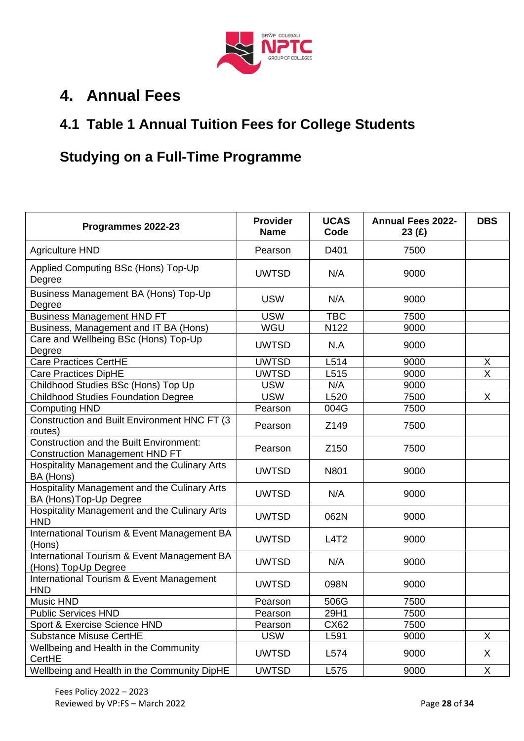

### <span id="page-27-0"></span>**4. Annual Fees**

### **4.1 Table 1 Annual Tuition Fees for College Students**

### **Studying on a Full-Time Programme**

<span id="page-27-1"></span>

| Programmes 2022-23                                                               | <b>Provider</b><br><b>Name</b> | <b>UCAS</b><br>Code | <b>Annual Fees 2022-</b><br>23(f) | <b>DBS</b>              |
|----------------------------------------------------------------------------------|--------------------------------|---------------------|-----------------------------------|-------------------------|
| <b>Agriculture HND</b>                                                           | Pearson                        | D401                | 7500                              |                         |
| Applied Computing BSc (Hons) Top-Up<br>Degree                                    | <b>UWTSD</b>                   | N/A                 | 9000                              |                         |
| Business Management BA (Hons) Top-Up<br>Degree                                   | <b>USW</b>                     | N/A                 | 9000                              |                         |
| <b>Business Management HND FT</b>                                                | <b>USW</b>                     | <b>TBC</b>          | 7500                              |                         |
| Business, Management and IT BA (Hons)                                            | WGU                            | N122                | 9000                              |                         |
| Care and Wellbeing BSc (Hons) Top-Up<br>Degree                                   | <b>UWTSD</b>                   | N.A                 | 9000                              |                         |
| <b>Care Practices CertHE</b>                                                     | <b>UWTSD</b>                   | L514                | 9000                              | X                       |
| <b>Care Practices DipHE</b>                                                      | <b>UWTSD</b>                   | L515                | 9000                              | $\overline{\mathsf{x}}$ |
| Childhood Studies BSc (Hons) Top Up                                              | <b>USW</b>                     | N/A                 | 9000                              |                         |
| <b>Childhood Studies Foundation Degree</b>                                       | <b>USW</b>                     | L520                | 7500                              | X                       |
| <b>Computing HND</b>                                                             | Pearson                        | 004G                | 7500                              |                         |
| Construction and Built Environment HNC FT (3<br>routes)                          | Pearson                        | Z149                | 7500                              |                         |
| Construction and the Built Environment:<br><b>Construction Management HND FT</b> | Pearson                        | Z <sub>150</sub>    | 7500                              |                         |
| Hospitality Management and the Culinary Arts<br>BA (Hons)                        | <b>UWTSD</b>                   | N801                | 9000                              |                         |
| Hospitality Management and the Culinary Arts<br>BA (Hons) Top-Up Degree          | <b>UWTSD</b>                   | N/A                 | 9000                              |                         |
| Hospitality Management and the Culinary Arts<br><b>HND</b>                       | <b>UWTSD</b>                   | 062N                | 9000                              |                         |
| International Tourism & Event Management BA<br>(Hons)                            | <b>UWTSD</b>                   | L4T2                | 9000                              |                         |
| International Tourism & Event Management BA<br>(Hons) Top-Up Degree              | <b>UWTSD</b>                   | N/A                 | 9000                              |                         |
| International Tourism & Event Management<br><b>HND</b>                           | <b>UWTSD</b>                   | 098N                | 9000                              |                         |
| Music HND                                                                        | Pearson                        | 506G                | 7500                              |                         |
| <b>Public Services HND</b>                                                       | Pearson                        | 29H1                | 7500                              |                         |
| Sport & Exercise Science HND                                                     | Pearson                        | CX62                | 7500                              |                         |
| <b>Substance Misuse CertHE</b>                                                   | <b>USW</b>                     | L591                | 9000                              | X                       |
| Wellbeing and Health in the Community<br>CertHE                                  | <b>UWTSD</b>                   | L574                | 9000                              | X                       |
| Wellbeing and Health in the Community DipHE                                      | <b>UWTSD</b>                   | L575                | 9000                              | X                       |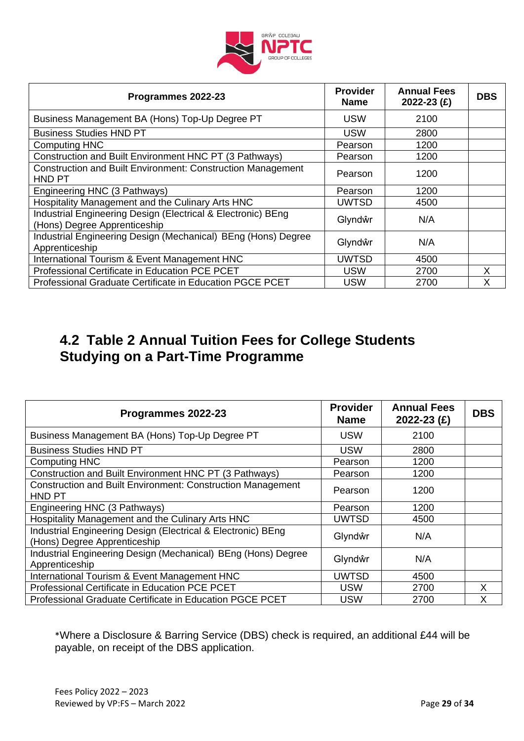

| Programmes 2022-23                                                                           | <b>Provider</b><br><b>Name</b> | <b>Annual Fees</b><br>2022-23 (£) | <b>DBS</b> |
|----------------------------------------------------------------------------------------------|--------------------------------|-----------------------------------|------------|
| Business Management BA (Hons) Top-Up Degree PT                                               | <b>USW</b>                     | 2100                              |            |
| <b>Business Studies HND PT</b>                                                               | <b>USW</b>                     | 2800                              |            |
| <b>Computing HNC</b>                                                                         | Pearson                        | 1200                              |            |
| Construction and Built Environment HNC PT (3 Pathways)                                       | Pearson                        | 1200                              |            |
| <b>Construction and Built Environment: Construction Management</b><br>HND PT                 | Pearson                        | 1200                              |            |
| Engineering HNC (3 Pathways)                                                                 | Pearson                        | 1200                              |            |
| Hospitality Management and the Culinary Arts HNC                                             | UWTSD                          | 4500                              |            |
| Industrial Engineering Design (Electrical & Electronic) BEng<br>(Hons) Degree Apprenticeship | Glyndŵr                        | N/A                               |            |
| Industrial Engineering Design (Mechanical) BEng (Hons) Degree<br>Apprenticeship              | Glyndŵr                        | N/A                               |            |
| International Tourism & Event Management HNC                                                 | <b>UWTSD</b>                   | 4500                              |            |
| Professional Certificate in Education PCE PCET                                               | <b>USW</b>                     | 2700                              | X          |
| Professional Graduate Certificate in Education PGCE PCET                                     | USW                            | 2700                              | X          |

### **4.2 Table 2 Annual Tuition Fees for College Students Studying on a Part-Time Programme**

| Programmes 2022-23                                                                           | <b>Provider</b><br><b>Name</b> | <b>Annual Fees</b><br>2022-23 $(f)$ | <b>DBS</b> |
|----------------------------------------------------------------------------------------------|--------------------------------|-------------------------------------|------------|
| Business Management BA (Hons) Top-Up Degree PT                                               | <b>USW</b>                     | 2100                                |            |
| <b>Business Studies HND PT</b>                                                               | <b>USW</b>                     | 2800                                |            |
| <b>Computing HNC</b>                                                                         | Pearson                        | 1200                                |            |
| Construction and Built Environment HNC PT (3 Pathways)                                       | Pearson                        | 1200                                |            |
| <b>Construction and Built Environment: Construction Management</b><br>HND PT                 | Pearson                        | 1200                                |            |
| Engineering HNC (3 Pathways)                                                                 | Pearson                        | 1200                                |            |
| Hospitality Management and the Culinary Arts HNC                                             | <b>UWTSD</b>                   | 4500                                |            |
| Industrial Engineering Design (Electrical & Electronic) BEng<br>(Hons) Degree Apprenticeship | Glyndŵr                        | N/A                                 |            |
| Industrial Engineering Design (Mechanical) BEng (Hons) Degree<br>Apprenticeship              | Glyndŵr                        | N/A                                 |            |
| International Tourism & Event Management HNC                                                 | <b>UWTSD</b>                   | 4500                                |            |
| Professional Certificate in Education PCE PCET                                               | <b>USW</b>                     | 2700                                | X          |
| Professional Graduate Certificate in Education PGCE PCET                                     | <b>USW</b>                     | 2700                                | X          |

\*Where a Disclosure & Barring Service (DBS) check is required, an additional £44 will be payable, on receipt of the DBS application.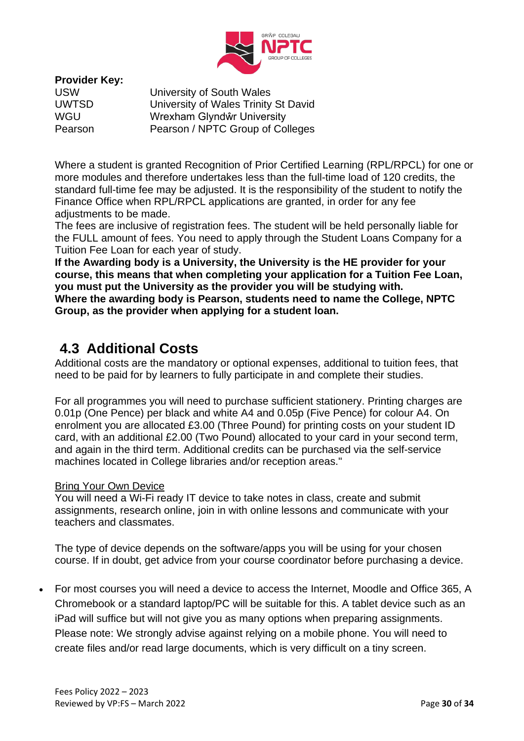

**Provider Key:**

University of South Wales UWTSD University of Wales Trinity St David WGU Wrexham Glyndŵr University Pearson Pearson / NPTC Group of Colleges

Where a student is granted Recognition of Prior Certified Learning (RPL/RPCL) for one or more modules and therefore undertakes less than the full-time load of 120 credits, the standard full-time fee may be adjusted. It is the responsibility of the student to notify the Finance Office when RPL/RPCL applications are granted, in order for any fee adjustments to be made.

The fees are inclusive of registration fees. The student will be held personally liable for the FULL amount of fees. You need to apply through the Student Loans Company for a Tuition Fee Loan for each year of study.

**If the Awarding body is a University, the University is the HE provider for your course, this means that when completing your application for a Tuition Fee Loan, you must put the University as the provider you will be studying with. Where the awarding body is Pearson, students need to name the College, NPTC Group, as the provider when applying for a student loan.**

### <span id="page-29-0"></span>**4.3 Additional Costs**

Additional costs are the mandatory or optional expenses, additional to tuition fees, that need to be paid for by learners to fully participate in and complete their studies.

For all programmes you will need to purchase sufficient stationery. Printing charges are 0.01p (One Pence) per black and white A4 and 0.05p (Five Pence) for colour A4. On enrolment you are allocated £3.00 (Three Pound) for printing costs on your student ID card, with an additional £2.00 (Two Pound) allocated to your card in your second term, and again in the third term. Additional credits can be purchased via the self-service machines located in College libraries and/or reception areas."

#### Bring Your Own Device

You will need a Wi-Fi ready IT device to take notes in class, create and submit assignments, research online, join in with online lessons and communicate with your teachers and classmates.

The type of device depends on the software/apps you will be using for your chosen course. If in doubt, get advice from your course coordinator before purchasing a device.

• For most courses you will need a device to access the Internet, Moodle and Office 365, A Chromebook or a standard laptop/PC will be suitable for this. A tablet device such as an iPad will suffice but will not give you as many options when preparing assignments. Please note: We strongly advise against relying on a mobile phone. You will need to create files and/or read large documents, which is very difficult on a tiny screen.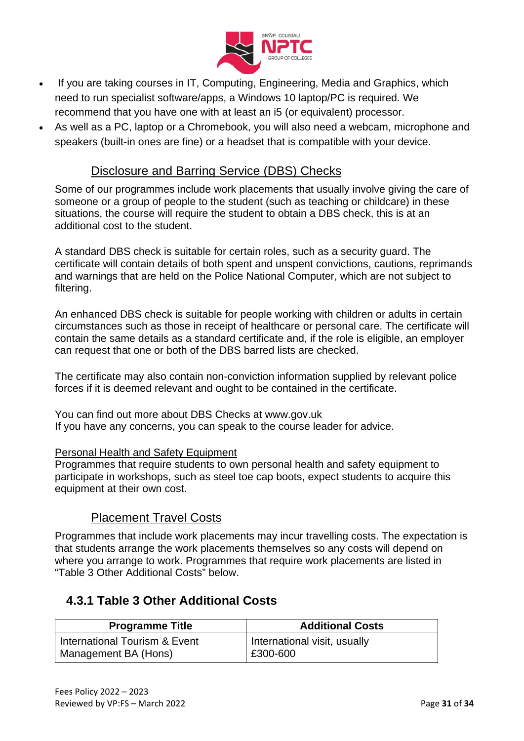

- If you are taking courses in IT, Computing, Engineering, Media and Graphics, which need to run specialist software/apps, a Windows 10 laptop/PC is required. We recommend that you have one with at least an i5 (or equivalent) processor.
- As well as a PC, laptop or a Chromebook, you will also need a webcam, microphone and speakers (built-in ones are fine) or a headset that is compatible with your device.

### Disclosure and Barring Service (DBS) Checks

Some of our programmes include work placements that usually involve giving the care of someone or a group of people to the student (such as teaching or childcare) in these situations, the course will require the student to obtain a DBS check, this is at an additional cost to the student.

A standard DBS check is suitable for certain roles, such as a security guard. The certificate will contain details of both spent and unspent convictions, cautions, reprimands and warnings that are held on the Police National Computer, which are not subject to filtering.

An enhanced DBS check is suitable for people working with children or adults in certain circumstances such as those in receipt of healthcare or personal care. The certificate will contain the same details as a standard certificate and, if the role is eligible, an employer can request that one or both of the DBS barred lists are checked.

The certificate may also contain non-conviction information supplied by relevant police forces if it is deemed relevant and ought to be contained in the certificate.

You can find out more about DBS Checks at [www.gov.uk](https://www.gov.uk/government/organisations/disclosure-and-barring-service) If you have any concerns, you can speak to the course leader for advice.

#### Personal Health and Safety Equipment

Programmes that require students to own personal health and safety equipment to participate in workshops, such as steel toe cap boots, expect students to acquire this equipment at their own cost.

### Placement Travel Costs

Programmes that include work placements may incur travelling costs. The expectation is that students arrange the work placements themselves so any costs will depend on where you arrange to work. Programmes that require work placements are listed in "Table 3 Other Additional Costs" below.

### <span id="page-30-0"></span>**4.3.1 Table 3 Other Additional Costs**

| <b>Programme Title</b>        | <b>Additional Costs</b>      |
|-------------------------------|------------------------------|
| International Tourism & Event | International visit, usually |
| Management BA (Hons)          | £300-600                     |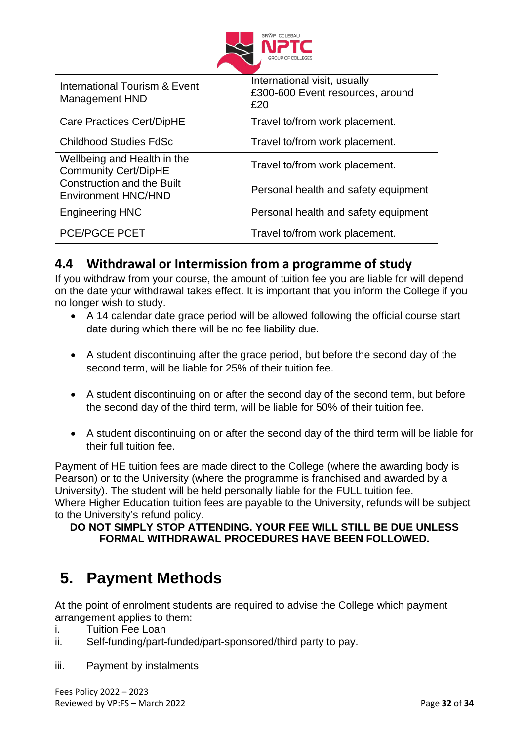

| International Tourism & Event<br>Management HND                 | International visit, usually<br>£300-600 Event resources, around<br>£20 |
|-----------------------------------------------------------------|-------------------------------------------------------------------------|
| Care Practices Cert/DipHE                                       | Travel to/from work placement.                                          |
| <b>Childhood Studies FdSc</b>                                   | Travel to/from work placement.                                          |
| Wellbeing and Health in the<br><b>Community Cert/DipHE</b>      | Travel to/from work placement.                                          |
| <b>Construction and the Built</b><br><b>Environment HNC/HND</b> | Personal health and safety equipment                                    |
| <b>Engineering HNC</b>                                          | Personal health and safety equipment                                    |
| PCE/PGCE PCET                                                   | Travel to/from work placement.                                          |

### <span id="page-31-0"></span>**4.4 Withdrawal or Intermission from a programme of study**

If you withdraw from your course, the amount of tuition fee you are liable for will depend on the date your withdrawal takes effect. It is important that you inform the College if you no longer wish to study.

- A 14 calendar date grace period will be allowed following the official course start date during which there will be no fee liability due.
- A student discontinuing after the grace period, but before the second day of the second term, will be liable for 25% of their tuition fee.
- A student discontinuing on or after the second day of the second term, but before the second day of the third term, will be liable for 50% of their tuition fee.
- A student discontinuing on or after the second day of the third term will be liable for their full tuition fee.

Payment of HE tuition fees are made direct to the College (where the awarding body is Pearson) or to the University (where the programme is franchised and awarded by a University). The student will be held personally liable for the FULL tuition fee. Where Higher Education tuition fees are payable to the University, refunds will be subject to the University's refund policy.

#### **DO NOT SIMPLY STOP ATTENDING. YOUR FEE WILL STILL BE DUE UNLESS FORMAL WITHDRAWAL PROCEDURES HAVE BEEN FOLLOWED.**

### <span id="page-31-1"></span>**5. Payment Methods**

At the point of enrolment students are required to advise the College which payment arrangement applies to them:

- i. Tuition Fee Loan
- ii. Self-funding/part-funded/part-sponsored/third party to pay.
- iii. Payment by instalments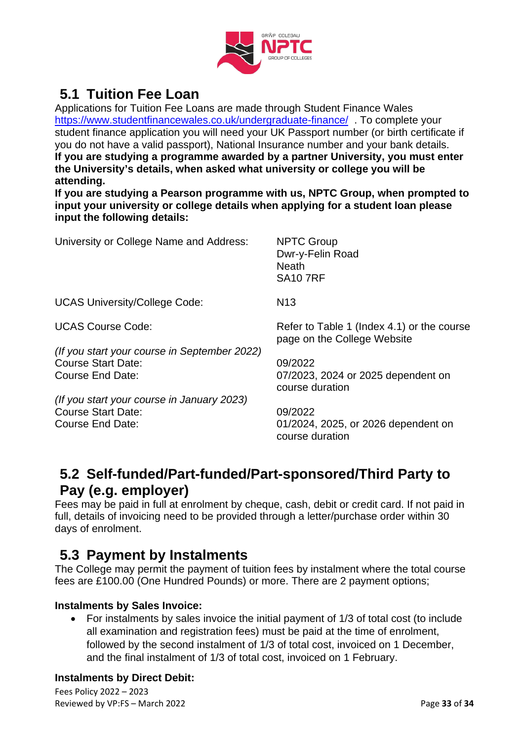

### <span id="page-32-0"></span>**5.1 Tuition Fee Loan**

Applications for Tuition Fee Loans are made through Student Finance Wales <https://www.studentfinancewales.co.uk/undergraduate-finance/>. To complete your student finance application you will need your UK Passport number (or birth certificate if you do not have a valid passport), National Insurance number and your bank details. **If you are studying a programme awarded by a partner University, you must enter the University's details, when asked what university or college you will be attending.**

**If you are studying a Pearson programme with us, NPTC Group, when prompted to input your university or college details when applying for a student loan please input the following details:**

| University or College Name and Address:                                                       | <b>NPTC Group</b><br>Dwr-y-Felin Road<br><b>Neath</b><br><b>SA10 7RF</b>  |
|-----------------------------------------------------------------------------------------------|---------------------------------------------------------------------------|
| <b>UCAS University/College Code:</b>                                                          | N <sub>13</sub>                                                           |
| <b>UCAS Course Code:</b>                                                                      | Refer to Table 1 (Index 4.1) or the course<br>page on the College Website |
| (If you start your course in September 2022)<br><b>Course Start Date:</b><br>Course End Date: | 09/2022<br>07/2023, 2024 or 2025 dependent on<br>course duration          |
| (If you start your course in January 2023)<br><b>Course Start Date:</b>                       | 09/2022                                                                   |

Course End Date: 01/2024, 2025, or 2026 dependent on course duration

### <span id="page-32-1"></span>**5.2 Self-funded/Part-funded/Part-sponsored/Third Party to Pay (e.g. employer)**

Fees may be paid in full at enrolment by cheque, cash, debit or credit card. If not paid in full, details of invoicing need to be provided through a letter/purchase order within 30 days of enrolment.

### <span id="page-32-2"></span>**5.3 Payment by Instalments**

The College may permit the payment of tuition fees by instalment where the total course fees are £100.00 (One Hundred Pounds) or more. There are 2 payment options;

### **Instalments by Sales Invoice:**

• For instalments by sales invoice the initial payment of 1/3 of total cost (to include all examination and registration fees) must be paid at the time of enrolment, followed by the second instalment of 1/3 of total cost, invoiced on 1 December, and the final instalment of 1/3 of total cost, invoiced on 1 February.

### **Instalments by Direct Debit:**

Fees Policy 2022 – 2023 Reviewed by VP:FS – March 2022 Page **33** of **34**